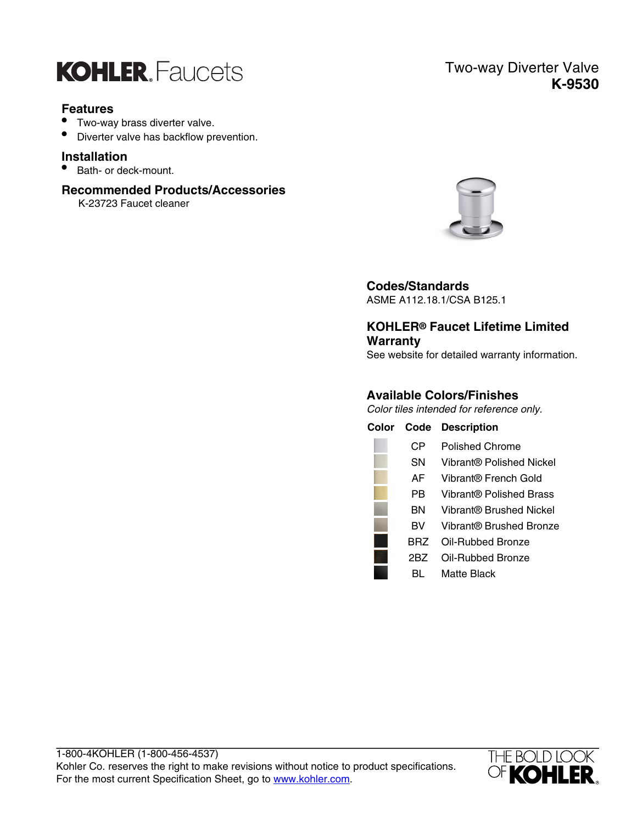

## **Features**

- Two-way brass diverter valve.
- Diverter valve has backflow prevention.

#### **Installation**

• Bath- or deck-mount.

## **Recommended Products/Accessories**

K-23723 Faucet cleaner

## Two-way Diverter Valve **K-9530**



## **Codes/Standards**

ASME A112.18.1/CSA B125.1

## **KOHLER® Faucet Lifetime Limited Warranty**

See website for detailed warranty information.

## **Available Colors/Finishes**

Color tiles intended for reference only.

| Color | Code      | <b>Description</b>       |
|-------|-----------|--------------------------|
|       | CР        | Polished Chrome          |
|       | SΝ        | Vibrant® Polished Nickel |
|       | AF        | Vibrant® French Gold     |
|       | РB        | Vibrant® Polished Brass  |
|       | ΒN        | Vibrant® Brushed Nickel  |
|       | <b>BV</b> | Vibrant® Brushed Bronze  |
|       | BRZ       | Oil-Rubbed Bronze        |
|       | 2BZ       | Oil-Rubbed Bronze        |
|       |           | Matte Black              |